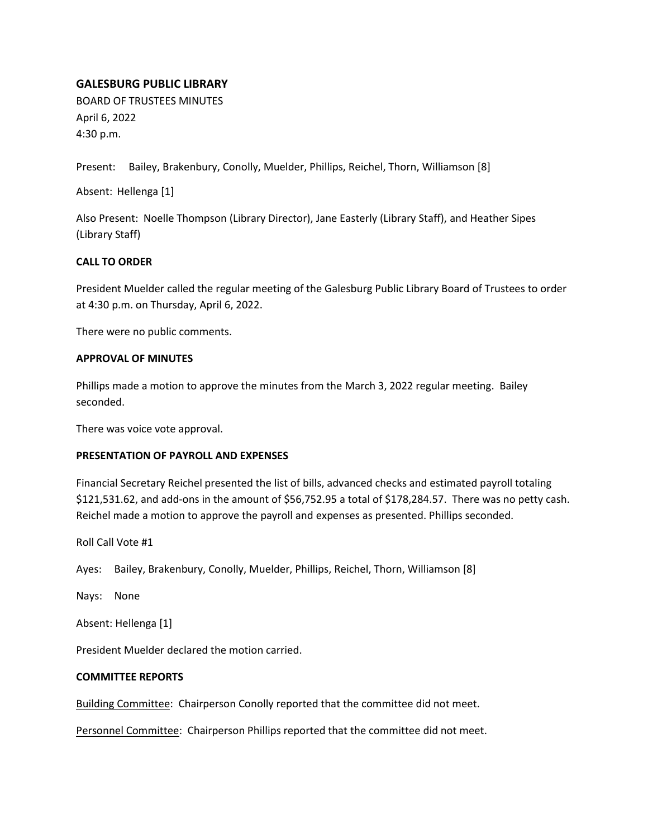# **GALESBURG PUBLIC LIBRARY**

BOARD OF TRUSTEES MINUTES April 6, 2022 4:30 p.m.

Present: Bailey, Brakenbury, Conolly, Muelder, Phillips, Reichel, Thorn, Williamson [8]

Absent: Hellenga [1]

Also Present: Noelle Thompson (Library Director), Jane Easterly (Library Staff), and Heather Sipes (Library Staff)

## **CALL TO ORDER**

President Muelder called the regular meeting of the Galesburg Public Library Board of Trustees to order at 4:30 p.m. on Thursday, April 6, 2022.

There were no public comments.

## **APPROVAL OF MINUTES**

Phillips made a motion to approve the minutes from the March 3, 2022 regular meeting. Bailey seconded.

There was voice vote approval.

## **PRESENTATION OF PAYROLL AND EXPENSES**

Financial Secretary Reichel presented the list of bills, advanced checks and estimated payroll totaling \$121,531.62, and add-ons in the amount of \$56,752.95 a total of \$178,284.57. There was no petty cash. Reichel made a motion to approve the payroll and expenses as presented. Phillips seconded.

Roll Call Vote #1

Ayes: Bailey, Brakenbury, Conolly, Muelder, Phillips, Reichel, Thorn, Williamson [8]

Nays: None

Absent: Hellenga [1]

President Muelder declared the motion carried.

## **COMMITTEE REPORTS**

Building Committee: Chairperson Conolly reported that the committee did not meet.

Personnel Committee: Chairperson Phillips reported that the committee did not meet.